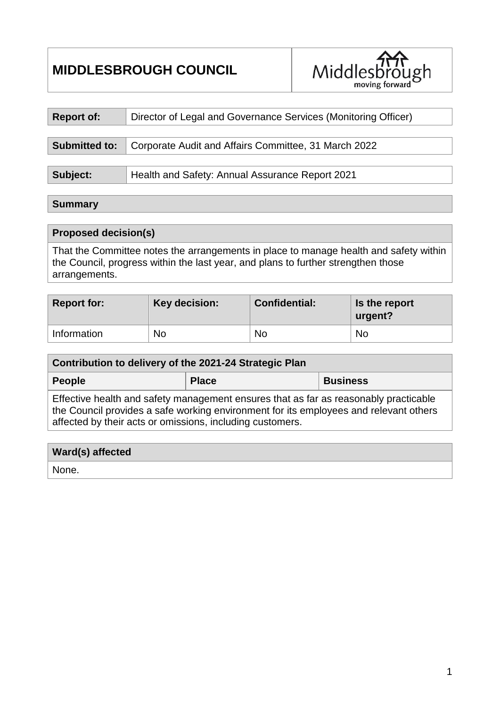# **MIDDLESBROUGH COUNCIL**



| <b>Report of:</b>    | Director of Legal and Governance Services (Monitoring Officer) |
|----------------------|----------------------------------------------------------------|
|                      |                                                                |
| <b>Submitted to:</b> | Corporate Audit and Affairs Committee, 31 March 2022           |
|                      |                                                                |
| Subject:             | Health and Safety: Annual Assurance Report 2021                |

#### **Summary**

#### **Proposed decision(s)**

That the Committee notes the arrangements in place to manage health and safety within the Council, progress within the last year, and plans to further strengthen those arrangements.

| Report for: | Key decision: | <b>Confidential:</b> | Is the report<br>urgent? |
|-------------|---------------|----------------------|--------------------------|
| Information | No            | <b>No</b>            | No                       |

| Contribution to delivery of the 2021-24 Strategic Plan                               |              |                 |  |  |  |  |
|--------------------------------------------------------------------------------------|--------------|-----------------|--|--|--|--|
| People                                                                               | <b>Place</b> | <b>Business</b> |  |  |  |  |
| Effective health and safety management ensures that as far as reasonably practicable |              |                 |  |  |  |  |

the Council provides a safe working environment for its employees and relevant others affected by their acts or omissions, including customers.

| <b>Ward(s) affected</b> |  |
|-------------------------|--|
| 'None.                  |  |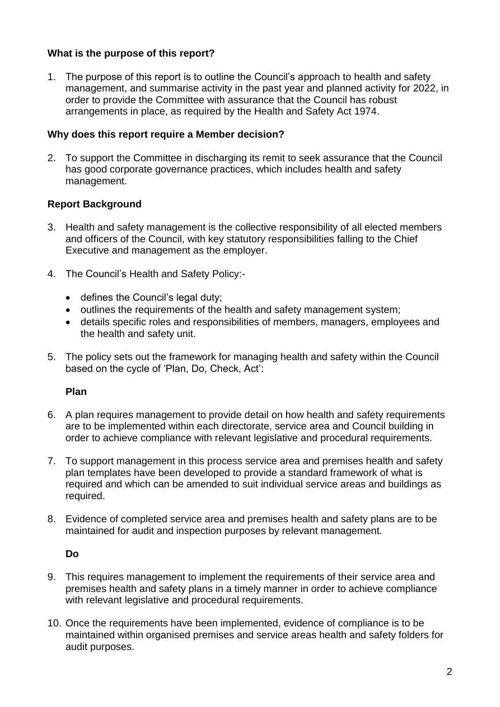## **What is the purpose of this report?**

1. The purpose of this report is to outline the Council's approach to health and safety management, and summarise activity in the past year and planned activity for 2022, in order to provide the Committee with assurance that the Council has robust arrangements in place, as required by the Health and Safety Act 1974.

#### **Why does this report require a Member decision?**

2. To support the Committee in discharging its remit to seek assurance that the Council has good corporate governance practices, which includes health and safety management.

## **Report Background**

- 3. Health and safety management is the collective responsibility of all elected members and officers of the Council, with key statutory responsibilities falling to the Chief Executive and management as the employer.
- 4. The Council's Health and Safety Policy:-
	- defines the Council's legal duty;
	- outlines the requirements of the health and safety management system;
	- details specific roles and responsibilities of members, managers, employees and the health and safety unit.
- 5. The policy sets out the framework for managing health and safety within the Council based on the cycle of 'Plan, Do, Check, Act':

## **Plan**

- 6. A plan requires management to provide detail on how health and safety requirements are to be implemented within each directorate, service area and Council building in order to achieve compliance with relevant legislative and procedural requirements.
- 7. To support management in this process service area and premises health and safety plan templates have been developed to provide a standard framework of what is required and which can be amended to suit individual service areas and buildings as required.
- 8. Evidence of completed service area and premises health and safety plans are to be maintained for audit and inspection purposes by relevant management.

## **Do**

- 9. This requires management to implement the requirements of their service area and premises health and safety plans in a timely manner in order to achieve compliance with relevant legislative and procedural requirements.
- 10. Once the requirements have been implemented, evidence of compliance is to be maintained within organised premises and service areas health and safety folders for audit purposes.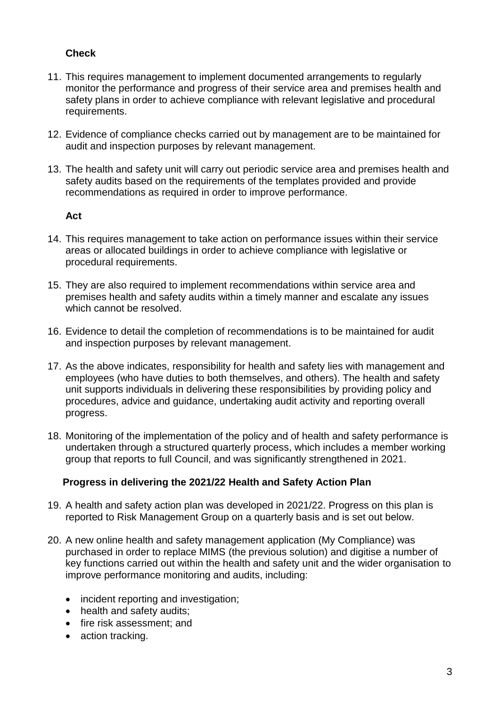# **Check**

- 11. This requires management to implement documented arrangements to regularly monitor the performance and progress of their service area and premises health and safety plans in order to achieve compliance with relevant legislative and procedural requirements.
- 12. Evidence of compliance checks carried out by management are to be maintained for audit and inspection purposes by relevant management.
- 13. The health and safety unit will carry out periodic service area and premises health and safety audits based on the requirements of the templates provided and provide recommendations as required in order to improve performance.

#### **Act**

- 14. This requires management to take action on performance issues within their service areas or allocated buildings in order to achieve compliance with legislative or procedural requirements.
- 15. They are also required to implement recommendations within service area and premises health and safety audits within a timely manner and escalate any issues which cannot be resolved.
- 16. Evidence to detail the completion of recommendations is to be maintained for audit and inspection purposes by relevant management.
- 17. As the above indicates, responsibility for health and safety lies with management and employees (who have duties to both themselves, and others). The health and safety unit supports individuals in delivering these responsibilities by providing policy and procedures, advice and guidance, undertaking audit activity and reporting overall progress.
- 18. Monitoring of the implementation of the policy and of health and safety performance is undertaken through a structured quarterly process, which includes a member working group that reports to full Council, and was significantly strengthened in 2021.

## **Progress in delivering the 2021/22 Health and Safety Action Plan**

- 19. A health and safety action plan was developed in 2021/22. Progress on this plan is reported to Risk Management Group on a quarterly basis and is set out below.
- 20. A new online health and safety management application (My Compliance) was purchased in order to replace MIMS (the previous solution) and digitise a number of key functions carried out within the health and safety unit and the wider organisation to improve performance monitoring and audits, including:
	- incident reporting and investigation;
	- health and safety audits;
	- fire risk assessment; and
	- action tracking.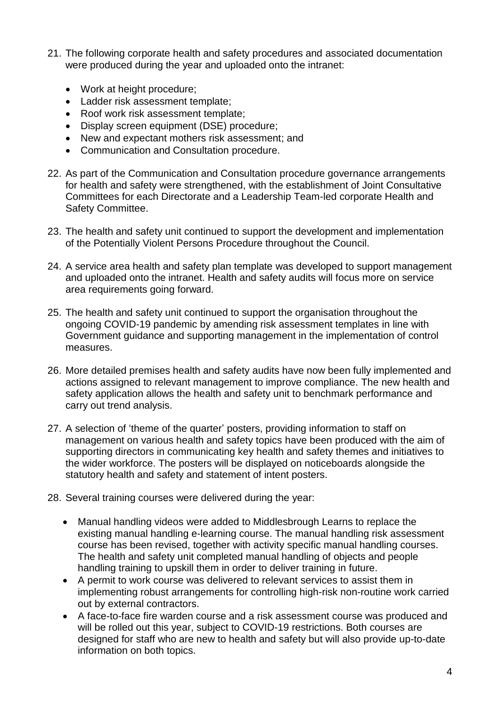- 21. The following corporate health and safety procedures and associated documentation were produced during the year and uploaded onto the intranet:
	- Work at height procedure;
	- Ladder risk assessment template;
	- Roof work risk assessment template;
	- Display screen equipment (DSE) procedure;
	- New and expectant mothers risk assessment; and
	- Communication and Consultation procedure.
- 22. As part of the Communication and Consultation procedure governance arrangements for health and safety were strengthened, with the establishment of Joint Consultative Committees for each Directorate and a Leadership Team-led corporate Health and Safety Committee.
- 23. The health and safety unit continued to support the development and implementation of the Potentially Violent Persons Procedure throughout the Council.
- 24. A service area health and safety plan template was developed to support management and uploaded onto the intranet. Health and safety audits will focus more on service area requirements going forward.
- 25. The health and safety unit continued to support the organisation throughout the ongoing COVID-19 pandemic by amending risk assessment templates in line with Government guidance and supporting management in the implementation of control measures.
- 26. More detailed premises health and safety audits have now been fully implemented and actions assigned to relevant management to improve compliance. The new health and safety application allows the health and safety unit to benchmark performance and carry out trend analysis.
- 27. A selection of 'theme of the quarter' posters, providing information to staff on management on various health and safety topics have been produced with the aim of supporting directors in communicating key health and safety themes and initiatives to the wider workforce. The posters will be displayed on noticeboards alongside the statutory health and safety and statement of intent posters.
- 28. Several training courses were delivered during the year:
	- Manual handling videos were added to Middlesbrough Learns to replace the existing manual handling e-learning course. The manual handling risk assessment course has been revised, together with activity specific manual handling courses. The health and safety unit completed manual handling of objects and people handling training to upskill them in order to deliver training in future.
	- A permit to work course was delivered to relevant services to assist them in implementing robust arrangements for controlling high-risk non-routine work carried out by external contractors.
	- A face-to-face fire warden course and a risk assessment course was produced and will be rolled out this year, subject to COVID-19 restrictions. Both courses are designed for staff who are new to health and safety but will also provide up-to-date information on both topics.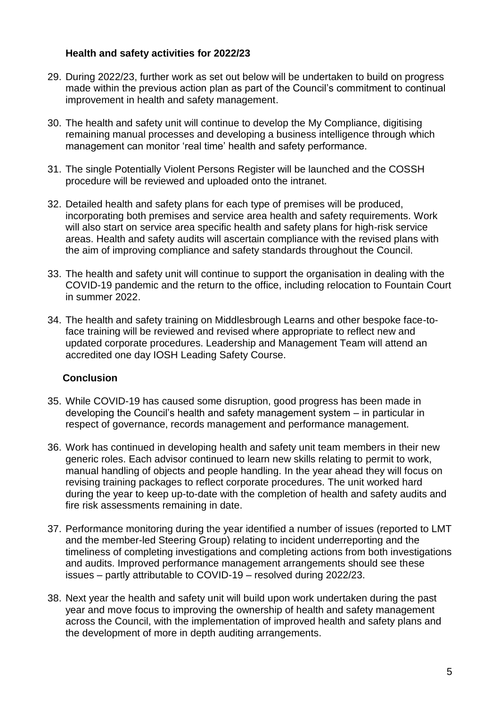#### **Health and safety activities for 2022/23**

- 29. During 2022/23, further work as set out below will be undertaken to build on progress made within the previous action plan as part of the Council's commitment to continual improvement in health and safety management.
- 30. The health and safety unit will continue to develop the My Compliance, digitising remaining manual processes and developing a business intelligence through which management can monitor 'real time' health and safety performance.
- 31. The single Potentially Violent Persons Register will be launched and the COSSH procedure will be reviewed and uploaded onto the intranet.
- 32. Detailed health and safety plans for each type of premises will be produced, incorporating both premises and service area health and safety requirements. Work will also start on service area specific health and safety plans for high-risk service areas. Health and safety audits will ascertain compliance with the revised plans with the aim of improving compliance and safety standards throughout the Council.
- 33. The health and safety unit will continue to support the organisation in dealing with the COVID-19 pandemic and the return to the office, including relocation to Fountain Court in summer 2022.
- 34. The health and safety training on Middlesbrough Learns and other bespoke face-toface training will be reviewed and revised where appropriate to reflect new and updated corporate procedures. Leadership and Management Team will attend an accredited one day IOSH Leading Safety Course.

## **Conclusion**

- 35. While COVID-19 has caused some disruption, good progress has been made in developing the Council's health and safety management system – in particular in respect of governance, records management and performance management.
- 36. Work has continued in developing health and safety unit team members in their new generic roles. Each advisor continued to learn new skills relating to permit to work, manual handling of objects and people handling. In the year ahead they will focus on revising training packages to reflect corporate procedures. The unit worked hard during the year to keep up-to-date with the completion of health and safety audits and fire risk assessments remaining in date.
- 37. Performance monitoring during the year identified a number of issues (reported to LMT and the member-led Steering Group) relating to incident underreporting and the timeliness of completing investigations and completing actions from both investigations and audits. Improved performance management arrangements should see these issues – partly attributable to COVID-19 – resolved during 2022/23.
- 38. Next year the health and safety unit will build upon work undertaken during the past year and move focus to improving the ownership of health and safety management across the Council, with the implementation of improved health and safety plans and the development of more in depth auditing arrangements.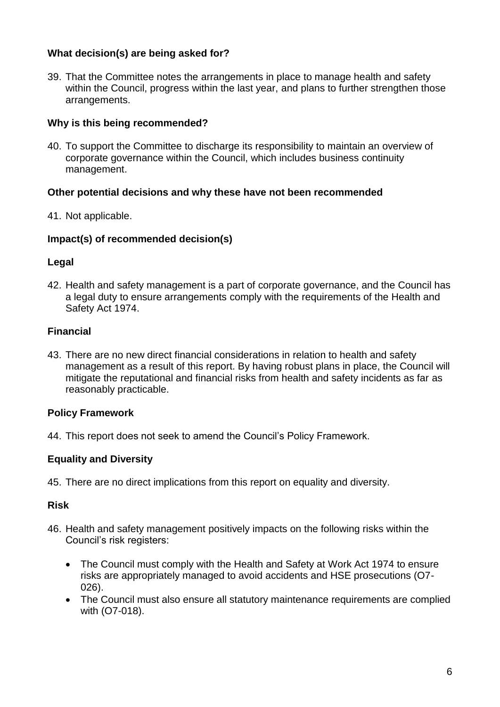## **What decision(s) are being asked for?**

39. That the Committee notes the arrangements in place to manage health and safety within the Council, progress within the last year, and plans to further strengthen those arrangements.

## **Why is this being recommended?**

40. To support the Committee to discharge its responsibility to maintain an overview of corporate governance within the Council, which includes business continuity management.

## **Other potential decisions and why these have not been recommended**

41. Not applicable.

## **Impact(s) of recommended decision(s)**

## **Legal**

42. Health and safety management is a part of corporate governance, and the Council has a legal duty to ensure arrangements comply with the requirements of the Health and Safety Act 1974.

# **Financial**

43. There are no new direct financial considerations in relation to health and safety management as a result of this report. By having robust plans in place, the Council will mitigate the reputational and financial risks from health and safety incidents as far as reasonably practicable.

# **Policy Framework**

44. This report does not seek to amend the Council's Policy Framework.

# **Equality and Diversity**

45. There are no direct implications from this report on equality and diversity.

## **Risk**

- 46. Health and safety management positively impacts on the following risks within the Council's risk registers:
	- The Council must comply with the Health and Safety at Work Act 1974 to ensure risks are appropriately managed to avoid accidents and HSE prosecutions (O7- 026).
	- The Council must also ensure all statutory maintenance requirements are complied with (O7-018).